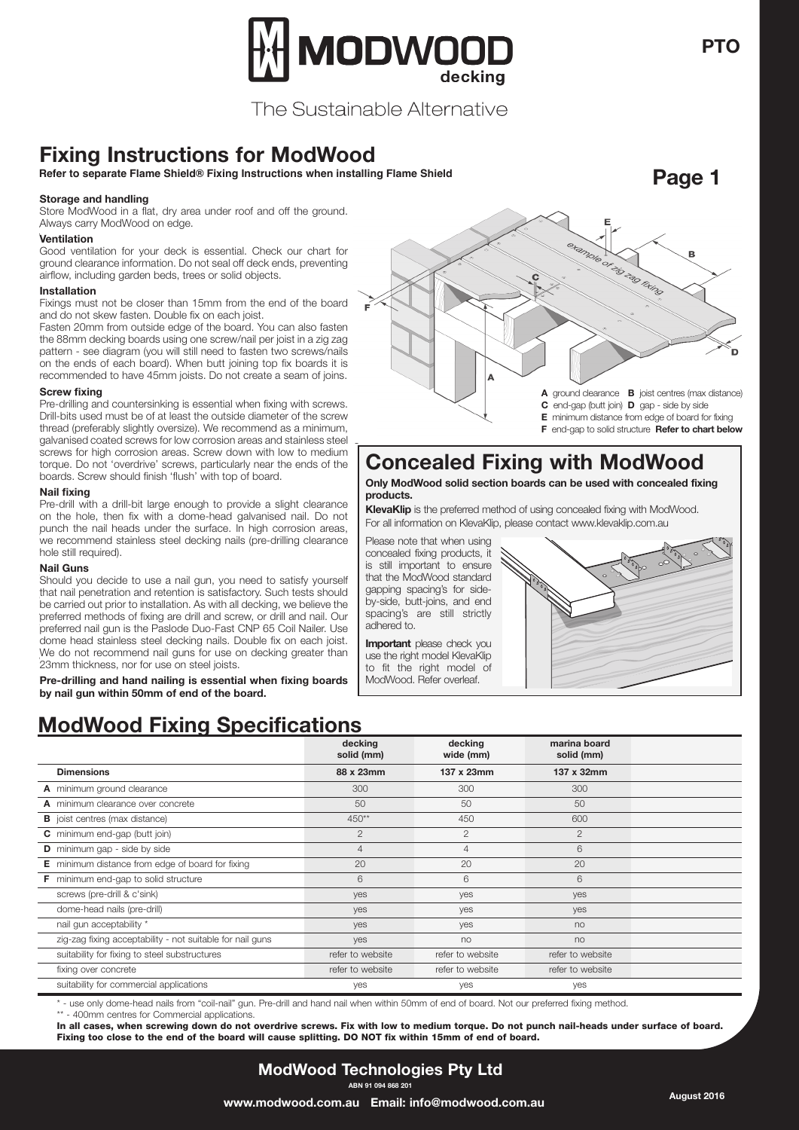

The Sustainable Alternative

# **Fixing Instructions for ModWood**

**Refer to separate Flame Shield® Fixing Instructions when installing Flame Shield**

#### **Storage & handling Storage and handling**

Store ModWood in a flat, dry area under roof and off the ground. Store ModWood in a flat, dry area under roof and off the ground. Always carry ModWood on edge. Always carry ModWood on edge.

#### **Ventilation Ventilation**

**Cood ventilation for your deck is essential. Check our chart for** including garden beds, trees or solid objects. airflow, including garden beds, trees or solid objects. ground clearance information. Do not seal off deck ends, preventing

### **Installation Installation**

 $\blacksquare$ Installation than 15 mm from the end of the board and domination that board and domination  $\blacksquare$ Fixings must not be closer than 15mm from the end of the board and do not skew fasten. Double its on each joist.<br>Fasten 2008 fasten the board factor that also fasten the board. and do not skew fasten. Double fix on each joist.

Fasten 20mm from outside edge of the board. You can also fasten the bomm decking boards using one screw/nail per joist in a zig za pattern - see diagram (you will still need to fasten two screws/nails on the ends of each board). When butt joining top fix boards it is the 88mm decking boards using one screw/nail per joist in a zig zag recommended to have 45mm joists. Do not create a seam of joins.

#### **Screw fixing Screw fixing**

Pre-drilling and countersinking is essential when fixing with screws. Drill-bits used must be of at least the outside diameter of the screw thread (preferably slightly oversize). We recommend as a minimum, galvanised coated screws for low corrosion areas and stainless steel Lewis screws for high corrosion areas. Screw down with low to medium torque. Do not 'overdrive' screws, particularly near the ends of the boards. Screw should finish 'flush' with top of board.

#### **Nail fixing Nail fixing**

wan namy<br>Pre-drill with a drill-bit large enough to provide a slight clearance hole, then fix with a dome-head galvanised nail. on the hole, then fix with a dome-head galvanised nail. Do not Do not punch the nail heads under the surface. In high corrosion areas, punch the nail heads under the surface. In high corrosion areas, parter the name and and the canader in high cerrector areas, we recommend stainless steel decking nails (pre-drilling clearance we recommend o

### **Nail Guns Nail Guns**

Should you decide to use a nail gun, you need to satisfy yourself that Should you decide to use a nail gun, you need to satisfy yourself<br>that asil negativities and intertion is actisfactory. Such tasts should that nail penetration and retention is satisfactory. Such tests should As with all decking, we believe the preferred methods of fixing are drill preferred methods of fixing are drill and screw, or drill and nail. Our and screw, or drill and nail. Our preferred nail gun is the Paslode Duo-preferred nail gun is the Paslode Duo-Fast CNP 65 Coil Nailer. Use preferred hair garms then asfoue Duo-Fast ONF to Coil Nailer. Ose<br>dome head stainless steel decking nails. Double fix on each joist. Use dome head stainless steel decking nails. Double fix on each joist. We do not recommend nail guns for use on decking greater than 23mm thickness, nor for use on steel joists. be carried out prior to installation. As with all decking, we believe the

**Pre-drilling and hand nailing is essential when fixing boards** Pre-drilling and hand nailing is essential when filling bear<br>by nail gun within 50mm of end of the board nail gun within 50mm of end of the board. **by nail gun within 50mm of end of the board.**

### **ModWood Fixing Specifications**

|                                                           | decking<br>solid (mm) | decking<br>wide (mm) | marina board<br>solid (mm) |  |
|-----------------------------------------------------------|-----------------------|----------------------|----------------------------|--|
| <b>Dimensions</b>                                         | 88 x 23mm             | 137 x 23mm           | 137 x 32mm                 |  |
| A minimum ground clearance                                | 300                   | 300                  | 300                        |  |
| A minimum clearance over concrete                         | 50                    | 50                   | 50                         |  |
| <b>B</b> joist centres (max distance)                     | 450**                 | 450                  | 600                        |  |
| C minimum end-gap (butt join)                             | 2                     | $\overline{2}$       | $\overline{2}$             |  |
| <b>D</b> minimum gap - side by side                       | $\overline{4}$        | $\overline{4}$       | 6                          |  |
| <b>E</b> minimum distance from edge of board for fixing   | 20                    | 20                   | 20                         |  |
| <b>F</b> minimum end-gap to solid structure               | 6                     | 6                    | 6                          |  |
| screws (pre-drill & c'sink)                               | yes                   | yes                  | yes                        |  |
| dome-head nails (pre-drill)                               | yes                   | yes                  | yes                        |  |
| nail gun acceptability *                                  | yes                   | yes                  | no                         |  |
| zig-zag fixing acceptability - not suitable for nail guns | yes                   | no                   | no                         |  |
| suitability for fixing to steel substructures             | refer to website      | refer to website     | refer to website           |  |
| fixing over concrete                                      | refer to website      | refer to website     | refer to website           |  |
| suitability for commercial applications                   | yes                   | yes                  | yes                        |  |

\* - use only dome-head nails from "coil-nail" gun. Pre-drill and hand nail when within 50mm of end of board. Not our preferred fixing method. \*\* - 400mm centres for Commercial applications.

In all cases, when screwing down do not overdrive screws. Fix with low to medium torque. Do not punch nail-heads under surface of board. Fixing too close to the end of the board will cause splitting. DO NOT fix within 15mm of end of board.



- **E** minimum distance from edge of board for fixing
- **F** end-gap to solid structure **Refer to chart below**

### **Concealed Fixing with ModWood**

**Only ModWood solid section boards can be used with concealed fixing products.**

**KlevaKlip** is the preferred method of using concealed fixing with ModWood. For all information on KlevaKlip, please contact www.klevaklip.com.au

Please note that when using concealed fixing products, it is still important to ensure that the ModWood standard gapping spacing's for sideby-side, butt-joins, and end spacing's are still strictly adhered to.

**Important** please check you use the right model KlevaKlip to fit the right model of ModWood. Refer overleaf.



**PTO**